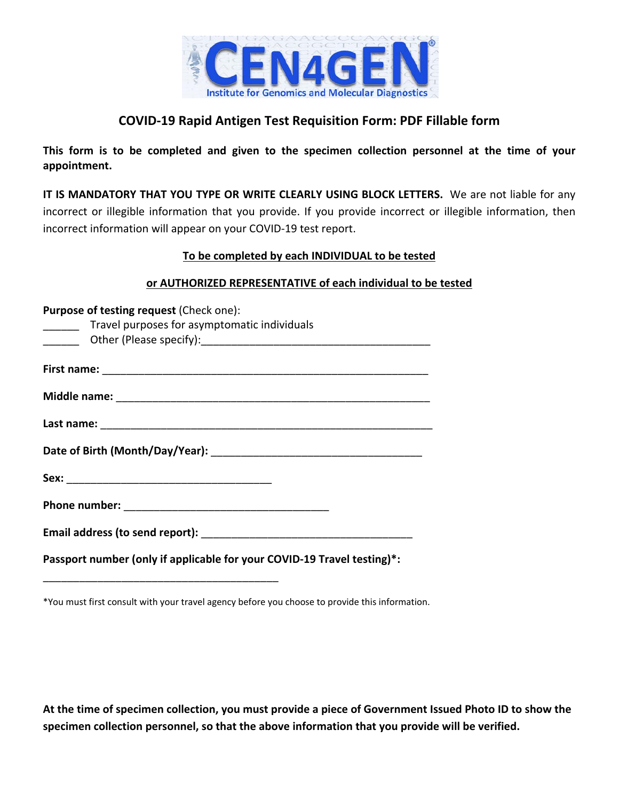

# **COVID‐19 Rapid Antigen Test Requisition Form: PDF Fillable form**

**This form is to be completed and given to the specimen collection personnel at the time of your appointment.** 

**IT IS MANDATORY THAT YOU TYPE OR WRITE CLEARLY USING BLOCK LETTERS.** We are not liable for any incorrect or illegible information that you provide. If you provide incorrect or illegible information, then incorrect information will appear on your COVID‐19 test report.

## **To be completed by each INDIVIDUAL to be tested**

#### **or AUTHORIZED REPRESENTATIVE of each individual to be tested**

| Purpose of testing request (Check one):                                 |
|-------------------------------------------------------------------------|
| Travel purposes for asymptomatic individuals<br>$\frac{1}{1}$           |
|                                                                         |
|                                                                         |
|                                                                         |
|                                                                         |
|                                                                         |
|                                                                         |
|                                                                         |
|                                                                         |
|                                                                         |
|                                                                         |
|                                                                         |
|                                                                         |
|                                                                         |
|                                                                         |
| Passport number (only if applicable for your COVID-19 Travel testing)*: |

\*You must first consult with your travel agency before you choose to provide this information.

\_\_\_\_\_\_\_\_\_\_\_\_\_\_\_\_\_\_\_\_\_\_\_\_\_\_\_\_\_\_\_\_\_\_\_\_\_\_\_

**At the time of specimen collection, you must provide a piece of Government Issued Photo ID to show the specimen collection personnel, so that the above information that you provide will be verified.**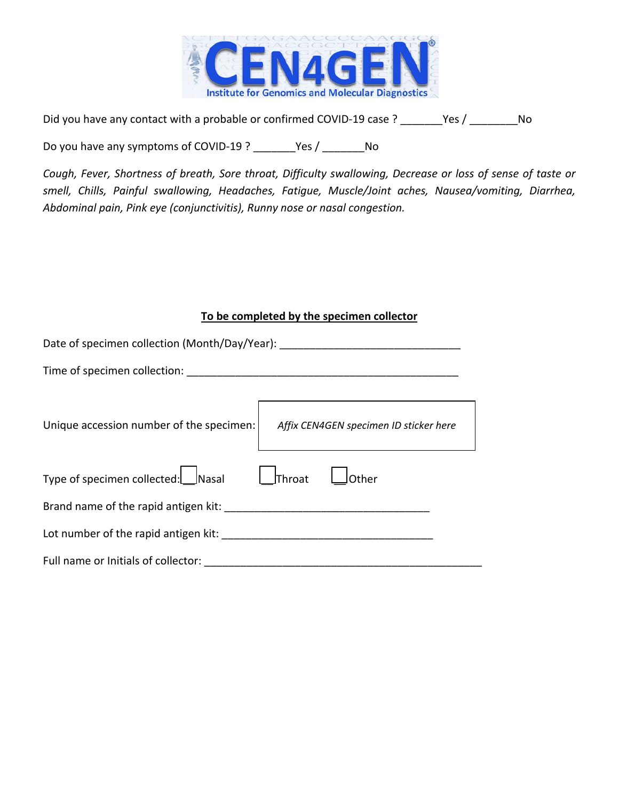

Did you have any contact with a probable or confirmed COVID-19 case ? \_\_\_\_\_\_\_Yes / \_\_\_\_\_\_\_\_No

Do you have any symptoms of COVID-19 ? \_\_\_\_\_\_\_Yes / \_\_\_\_\_\_\_ No

*Cough, Fever, Shortness of breath, Sore throat, Difficulty swallowing, Decrease or loss of sense of taste or smell, Chills, Painful swallowing, Headaches, Fatigue, Muscle/Joint aches, Nausea/vomiting, Diarrhea, Abdominal pain, Pink eye (conjunctivitis), Runny nose or nasal congestion.* 

# **To be completed by the specimen collector**

| Date of specimen collection (Month/Day/Year):                                      |
|------------------------------------------------------------------------------------|
| Time of specimen collection:                                                       |
| Unique accession number of the specimen:<br>Affix CEN4GEN specimen ID sticker here |
| Type of specimen collected: Nasal<br>$\Box$ Throat<br>Other                        |
| Brand name of the rapid antigen kit:                                               |
| Lot number of the rapid antigen kit:                                               |
| Full name or Initials of collector:                                                |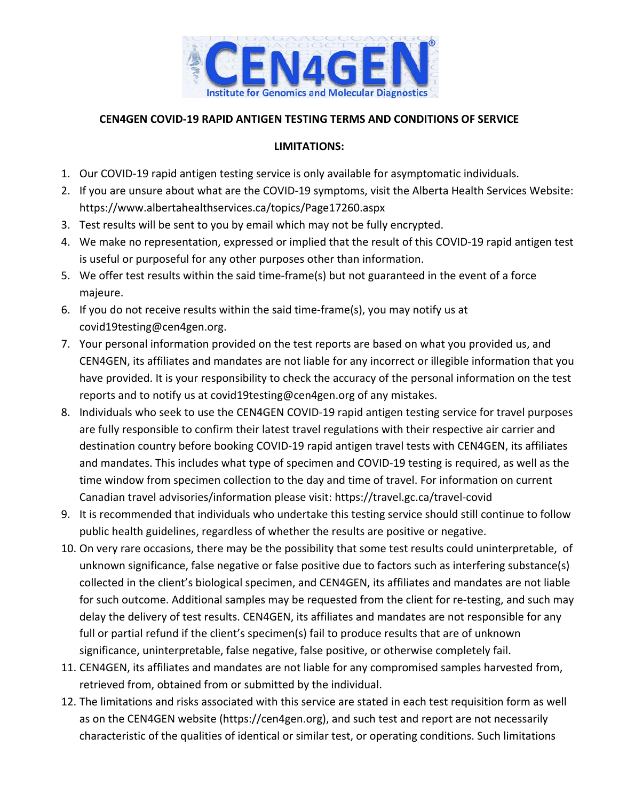

## **CEN4GEN COVID‐19 RAPID ANTIGEN TESTING TERMS AND CONDITIONS OF SERVICE**

#### **LIMITATIONS:**

- 1. Our COVID‐19 rapid antigen testing service is only available for asymptomatic individuals.
- 2. If you are unsure about what are the COVID‐19 symptoms, visit the Alberta Health Services Website: https://www.albertahealthservices.ca/topics/Page17260.aspx
- 3. Test results will be sent to you by email which may not be fully encrypted.
- 4. We make no representation, expressed or implied that the result of this COVID‐19 rapid antigen test is useful or purposeful for any other purposes other than information.
- 5. We offer test results within the said time-frame(s) but not guaranteed in the event of a force majeure.
- 6. If you do not receive results within the said time‐frame(s), you may notify us at covid19testing@cen4gen.org.
- 7. Your personal information provided on the test reports are based on what you provided us, and CEN4GEN, its affiliates and mandates are not liable for any incorrect or illegible information that you have provided. It is your responsibility to check the accuracy of the personal information on the test reports and to notify us at covid19testing@cen4gen.org of any mistakes.
- 8. Individuals who seek to use the CEN4GEN COVID‐19 rapid antigen testing service for travel purposes are fully responsible to confirm their latest travel regulations with their respective air carrier and destination country before booking COVID‐19 rapid antigen travel tests with CEN4GEN, its affiliates and mandates. This includes what type of specimen and COVID‐19 testing is required, as well as the time window from specimen collection to the day and time of travel. For information on current Canadian travel advisories/information please visit: https://travel.gc.ca/travel‐covid
- 9. It is recommended that individuals who undertake this testing service should still continue to follow public health guidelines, regardless of whether the results are positive or negative.
- 10. On very rare occasions, there may be the possibility that some test results could uninterpretable, of unknown significance, false negative or false positive due to factors such as interfering substance(s) collected in the client's biological specimen, and CEN4GEN, its affiliates and mandates are not liable for such outcome. Additional samples may be requested from the client for re-testing, and such may delay the delivery of test results. CEN4GEN, its affiliates and mandates are not responsible for any full or partial refund if the client's specimen(s) fail to produce results that are of unknown significance, uninterpretable, false negative, false positive, or otherwise completely fail.
- 11. CEN4GEN, its affiliates and mandates are not liable for any compromised samples harvested from, retrieved from, obtained from or submitted by the individual.
- 12. The limitations and risks associated with this service are stated in each test requisition form as well as on the CEN4GEN website (https://cen4gen.org), and such test and report are not necessarily characteristic of the qualities of identical or similar test, or operating conditions. Such limitations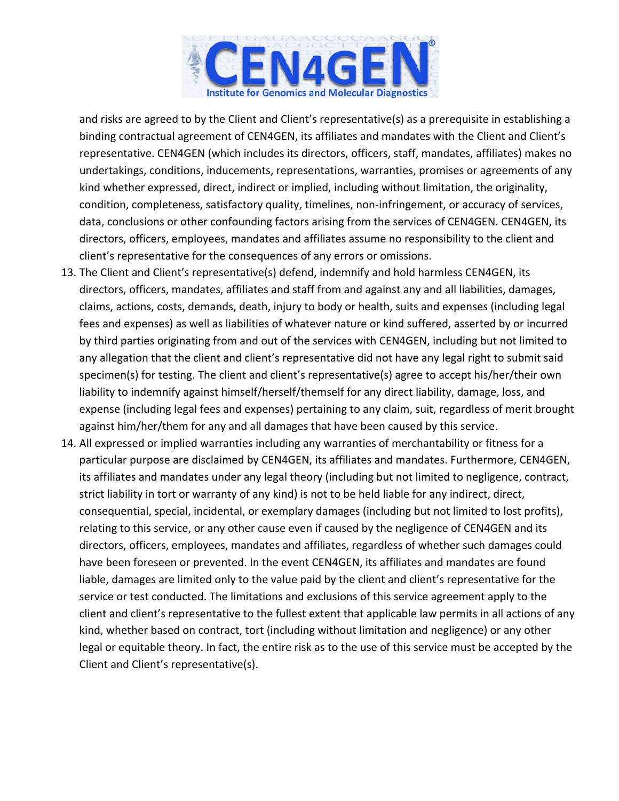

and risks are agreed to by the Client and Client's representative(s) as a prerequisite in establishing a binding contractual agreement of CEN4GEN, its affiliates and mandates with the Client and Client's representative. CEN4GEN (which includes its directors, officers, staff, mandates, affiliates) makes no undertakings, conditions, inducements, representations, warranties, promises or agreements of any kind whether expressed, direct, indirect or implied, including without limitation, the originality, condition, completeness, satisfactory quality, timelines, non-infringement, or accuracy of services, data, conclusions or other confounding factors arising from the services of CEN4GEN. CEN4GEN, its directors, officers, employees, mandates and affiliates assume no responsibility to the client and client's representative for the consequences of any errors or omissions.

- 13. The Client and Client's representative(s) defend, indemnify and hold harmless CEN4GEN, its directors, officers, mandates, affiliates and staff from and against any and all liabilities, damages, claims, actions, costs, demands, death, injury to body or health, suits and expenses (including legal fees and expenses) as well as liabilities of whatever nature or kind suffered, asserted by or incurred by third parties originating from and out of the services with CEN4GEN, including but not limited to any allegation that the client and client's representative did not have any legal right to submit said specimen(s) for testing. The client and client's representative(s) agree to accept his/her/their own liability to indemnify against himself/herself/themself for any direct liability, damage, loss, and expense (including legal fees and expenses) pertaining to any claim, suit, regardless of merit brought against him/her/them for any and all damages that have been caused by this service.
- 14. All expressed or implied warranties including any warranties of merchantability or fitness for a particular purpose are disclaimed by CEN4GEN, its affiliates and mandates. Furthermore, CEN4GEN, its affiliates and mandates under any legal theory (including but not limited to negligence, contract, strict liability in tort or warranty of any kind) is not to be held liable for any indirect, direct, consequential, special, incidental, or exemplary damages (including but not limited to lost profits), relating to this service, or any other cause even if caused by the negligence of CEN4GEN and its directors, officers, employees, mandates and affiliates, regardless of whether such damages could have been foreseen or prevented. In the event CEN4GEN, its affiliates and mandates are found liable, damages are limited only to the value paid by the client and client's representative for the service or test conducted. The limitations and exclusions of this service agreement apply to the client and client's representative to the fullest extent that applicable law permits in all actions of any kind, whether based on contract, tort (including without limitation and negligence) or any other legal or equitable theory. In fact, the entire risk as to the use of this service must be accepted by the Client and Client's representative(s).